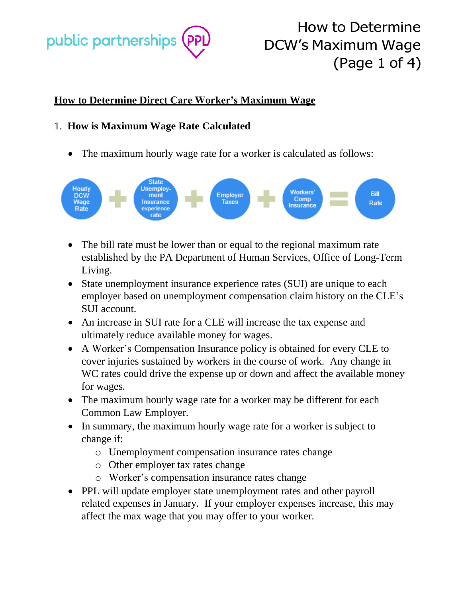

How to Determine DCW's Maximum Wage (Page 1 of 4)

## **How to Determine Direct Care Worker's Maximum Wage**

### 1. **How is Maximum Wage Rate Calculated**

• The maximum hourly wage rate for a worker is calculated as follows:



- The bill rate must be lower than or equal to the regional maximum rate established by the PA Department of Human Services, Office of Long-Term Living.
- State unemployment insurance experience rates (SUI) are unique to each employer based on unemployment compensation claim history on the CLE's SUI account.
- An increase in SUI rate for a CLE will increase the tax expense and ultimately reduce available money for wages.
- A Worker's Compensation Insurance policy is obtained for every CLE to cover injuries sustained by workers in the course of work. Any change in WC rates could drive the expense up or down and affect the available money for wages.
- The maximum hourly wage rate for a worker may be different for each Common Law Employer.
- In summary, the maximum hourly wage rate for a worker is subject to change if:
	- o Unemployment compensation insurance rates change
	- o Other employer tax rates change
	- o Worker's compensation insurance rates change
- PPL will update employer state unemployment rates and other payroll related expenses in January. If your employer expenses increase, this may affect the max wage that you may offer to your worker.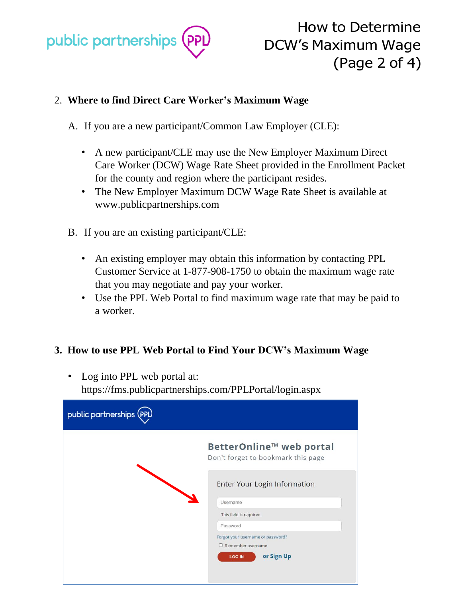

How to Determine DCW's Maximum Wage (Page 2 of 4)

## 2. **Where to find Direct Care Worker's Maximum Wage**

A. If you are a new participant/Common Law Employer (CLE):

- A new participant/CLE may use the New Employer Maximum Direct Care Worker (DCW) Wage Rate Sheet provided in the Enrollment Packet for the county and region where the participant resides.
- The New Employer Maximum DCW Wage Rate Sheet is available at www.publicpartnerships.com
- B. If you are an existing participant/CLE:
	- An existing employer may obtain this information by contacting PPL Customer Service at 1-877-908-1750 to obtain the maximum wage rate that you may negotiate and pay your worker.
	- Use the PPL Web Portal to find maximum wage rate that may be paid to a worker.

### **3. How to use PPL Web Portal to Find Your DCW's Maximum Wage**

• Log into PPL web portal at: https://fms.publicpartnerships.com/PPLPortal/login.aspx

| public partnerships (PPL |                                                                |
|--------------------------|----------------------------------------------------------------|
|                          | BetterOnline™ web portal<br>Don't forget to bookmark this page |
|                          | Enter Your Login Information                                   |
|                          | Usemame                                                        |
|                          | This field is required.                                        |
|                          | Password                                                       |
|                          | Forgot your username or password?<br>Remember username         |
|                          | or Sign Up<br><b>LOG IN</b>                                    |
|                          |                                                                |
|                          |                                                                |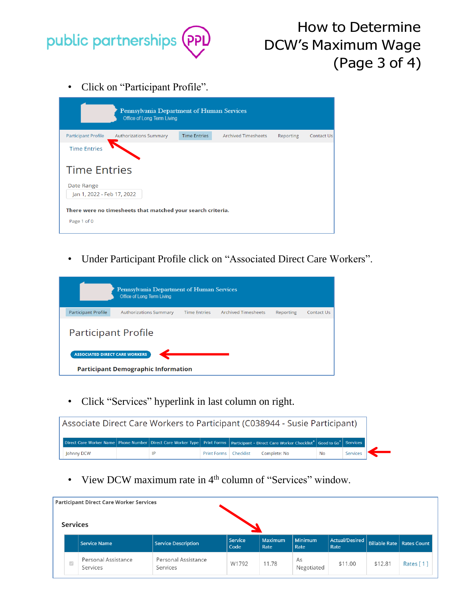

• Click on "Participant Profile".

|                                                             | Pennsylvania Department of Human Services<br><b>Office of Long Term Living</b> |                     |                            |           |            |  |  |
|-------------------------------------------------------------|--------------------------------------------------------------------------------|---------------------|----------------------------|-----------|------------|--|--|
| <b>Participant Profile</b>                                  | <b>Authorizations Summary</b>                                                  | <b>Time Entries</b> | <b>Archived Timesheets</b> | Reporting | Contact Us |  |  |
| <b>Time Entries</b>                                         |                                                                                |                     |                            |           |            |  |  |
| <b>Time Entries</b>                                         |                                                                                |                     |                            |           |            |  |  |
| Date Range                                                  |                                                                                |                     |                            |           |            |  |  |
| Jan 1, 2022 - Feb 17, 2022                                  |                                                                                |                     |                            |           |            |  |  |
| There were no timesheets that matched your search criteria. |                                                                                |                     |                            |           |            |  |  |
| Page 1 of 0                                                 |                                                                                |                     |                            |           |            |  |  |

• Under Participant Profile click on "Associated Direct Care Workers".

| Pennsylvania Department of Human Services<br>Office of Long Term Living             |                               |                     |                            |           |                   |  |
|-------------------------------------------------------------------------------------|-------------------------------|---------------------|----------------------------|-----------|-------------------|--|
| <b>Participant Profile</b>                                                          | <b>Authorizations Summary</b> | <b>Time Entries</b> | <b>Archived Timesheets</b> | Reporting | <b>Contact Us</b> |  |
| <b>Participant Profile</b>                                                          |                               |                     |                            |           |                   |  |
| <b>ASSOCIATED DIRECT CARE WORKERS</b><br><b>Participant Demographic Information</b> |                               |                     |                            |           |                   |  |

• Click "Services" hyperlink in last column on right.

| Associate Direct Care Workers to Participant (C038944 - Susie Participant) |  |  |    |                         |                                                                                                                                           |           |          |
|----------------------------------------------------------------------------|--|--|----|-------------------------|-------------------------------------------------------------------------------------------------------------------------------------------|-----------|----------|
|                                                                            |  |  |    |                         | Direct Care Worker Name Phone Number Direct Care Worker Type Print Forms Participant - Direct Care Worker Checklist* Good to Go* Services |           |          |
| Johnny DCW                                                                 |  |  | IP | Print Forms   Checklist | Complete: No                                                                                                                              | <b>No</b> | Services |

• View DCW maximum rate in 4<sup>th</sup> column of "Services" window.

| <b>Participant Direct Care Worker Services</b><br><b>Services</b> |               |                                 |                                 |                 |                        |                        |                        |                                    |           |
|-------------------------------------------------------------------|---------------|---------------------------------|---------------------------------|-----------------|------------------------|------------------------|------------------------|------------------------------------|-----------|
|                                                                   |               | <b>Service Name</b>             | <b>Service Description</b>      | Service<br>Code | <b>Maximum</b><br>Rate | <b>Minimum</b><br>Rate | Actual/Desired<br>Rate | <b>Billable Rate   Rates Count</b> |           |
|                                                                   | $\mathcal{L}$ | Personal Assistance<br>Services | Personal Assistance<br>Services | W1792           | 11.78                  | As<br>Negotiated       | \$11.00                | \$12.81                            | Rates [1] |